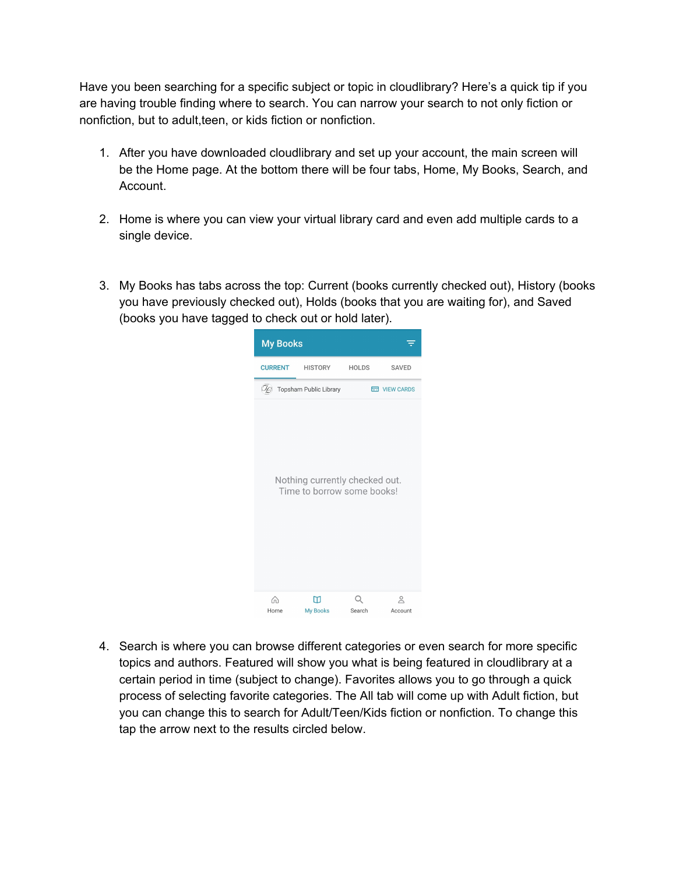Have you been searching for a specific subject or topic in cloudlibrary? Here's a quick tip if you are having trouble finding where to search. You can narrow your search to not only fiction or nonfiction, but to adult,teen, or kids fiction or nonfiction.

- 1. After you have downloaded cloudlibrary and set up your account, the main screen will be the Home page. At the bottom there will be four tabs, Home, My Books, Search, and Account.
- 2. Home is where you can view your virtual library card and even add multiple cards to a single device.
- 3. My Books has tabs across the top: Current (books currently checked out), History (books you have previously checked out), Holds (books that you are waiting for), and Saved (books you have tagged to check out or hold later).



4. Search is where you can browse different categories or even search for more specific topics and authors. Featured will show you what is being featured in cloudlibrary at a certain period in time (subject to change). Favorites allows you to go through a quick process of selecting favorite categories. The All tab will come up with Adult fiction, but you can change this to search for Adult/Teen/Kids fiction or nonfiction. To change this tap the arrow next to the results circled below.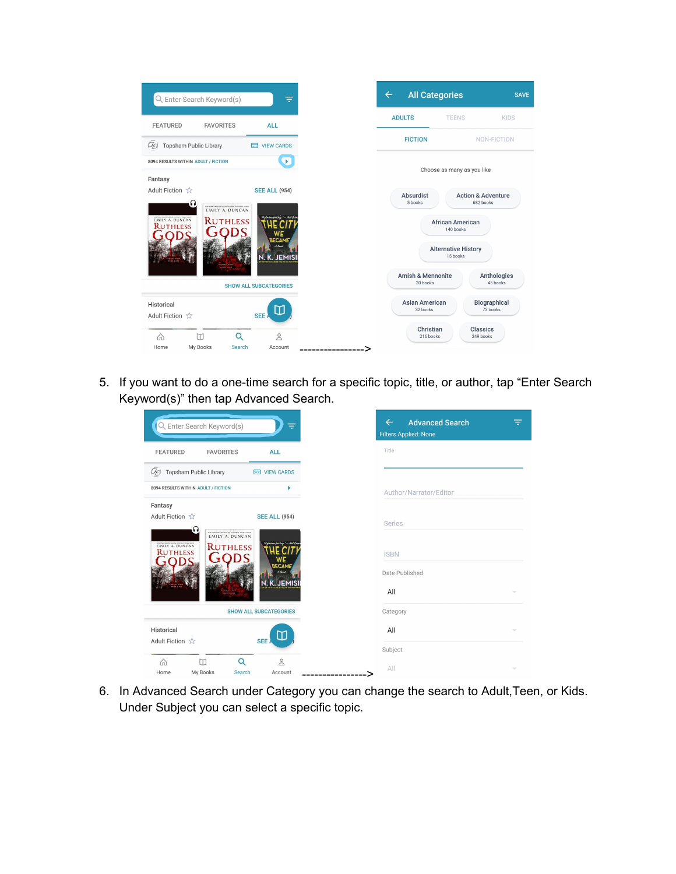

5. If you want to do a one-time search for a specific topic, title, or author, tap "Enter Search Keyword(s)" then tap Advanced Search.

| Q Enter Search Keyword(s)                                   |                                                                             | ÷                         |  |
|-------------------------------------------------------------|-----------------------------------------------------------------------------|---------------------------|--|
| <b>FEATURED</b>                                             | <b>FAVORITES</b>                                                            | <b>ALL</b>                |  |
| Topsham Public Library<br>Vg                                |                                                                             | <b>ED</b> VIEW CARDS      |  |
| 8094 RESULTS WITHIN ADULT / FICTION                         |                                                                             |                           |  |
| Fantasy<br>Adult Fiction $\sqrt{x}$                         |                                                                             | <b>SEE ALL (954)</b>      |  |
| Ω                                                           | WWW. PORC THREE RESTRICTIONS AND RESERVE AND MANY<br><b>EMILY A. DUNCAN</b> |                           |  |
| EMILY A. DUNCAN<br><b>RUTHLESS</b><br><b>RUTHLESS</b><br>WE |                                                                             |                           |  |
| <b>BECAME</b>                                               |                                                                             |                           |  |
|                                                             |                                                                             | K. JEN                    |  |
| <b>SHOW ALL SUBCATEGORIES</b>                               |                                                                             |                           |  |
| Historical                                                  |                                                                             | Π                         |  |
| Adult Fiction ☆                                             |                                                                             | SEE                       |  |
| ⋒<br>Home                                                   | Q<br>М<br>My Books<br>Search                                                | $\overline{0}$<br>Account |  |

6. In Advanced Search under Category you can change the search to Adult,Teen, or Kids. Under Subject you can select a specific topic.